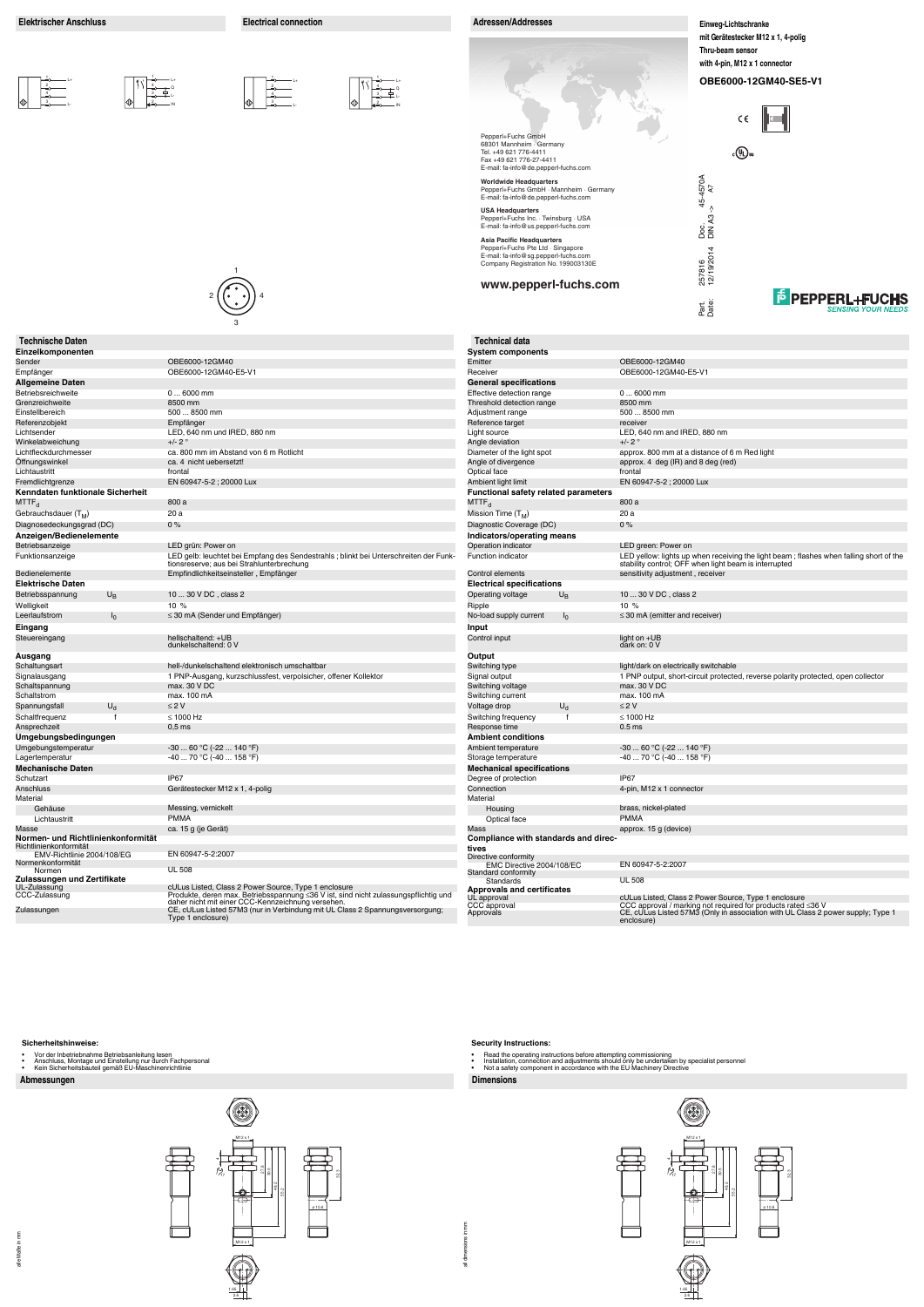#### **Abmessungen Dimensions**

#### **Sicherheitshinweise:**

- 
- Vor der Inbetriebnahme Betriebsanleitung lesen Anschluss, Montage und Einstellung nur durch Fachpersonal Kein Sicherheitsbauteil gemäß EU-Maschinenrichtlinie
- 

## all dimensions in mm all dimensions in mm

#### **Security Instructions:**

- 
- Read the operating instructions before attempting commissioning<br>• Installation, connection and adjustments should only be undertaken by specialist personnel<br>• Not a safety component in accordance with the EU
- 

**www.pepperl-fuchs.com**

|             | E6000-12GM40-SE5-V1                                 |
|-------------|-----------------------------------------------------|
|             | $\epsilon \in \ \mathbf{r}\ $                       |
| $c(U_L)$ us |                                                     |
|             |                                                     |
|             |                                                     |
|             |                                                     |
|             |                                                     |
|             |                                                     |
|             | <b>E</b> PEPPERL+FUCHS<br><b>SENSING YOUR NEEDS</b> |

Pepperl+Fuchs GmbH 68301 Mannheim · Germany Tel. +49 621 776-4411 Fax +49 621 776-27-4411 E-mail: fa-info@de.pepperl-fuchs.com Doc. 45-4570A<br>DIN A3 -> A7 Part. 257816 45-4570A Doc. **Worldwide Headquarters** DIN A3 -> A7 Pepperl+Fuchs GmbH · Mannheim · Germany E-mail: fa-info@de.pepperl-fuchs.com **USA Headquarters** Pepperl+Fuchs Inc. · Twinsburg · USA E-mail: fa-info@us.pepperl-fuchs.com **Asia Pacific Headquarters** Pepperl+Fuchs Pte Ltd · Singapore 257816<br>12/19/2014 12/19/2014 E-mail: fa-info@sg.pepperl-fuchs.com Company Registration No. 199003130E



**Einweg-Lichtschranke mit Gerätestecker M12 x 1, 4-polig Thru-beam sensor with 4-pin, M12 x 1 connector**

OB<sub>E</sub>



32.3

1

2 ((• •)) 4

|                                                              | 3                                                                                                                                        |                                               |                                                                                                                                                               |
|--------------------------------------------------------------|------------------------------------------------------------------------------------------------------------------------------------------|-----------------------------------------------|---------------------------------------------------------------------------------------------------------------------------------------------------------------|
| <b>Technische Daten</b>                                      |                                                                                                                                          | <b>Technical data</b>                         |                                                                                                                                                               |
| Einzelkomponenten                                            |                                                                                                                                          | <b>System components</b>                      |                                                                                                                                                               |
| Sender                                                       | OBE6000-12GM40                                                                                                                           | Emitter                                       | OBE6000-12GM40                                                                                                                                                |
| Empfänger                                                    | OBE6000-12GM40-E5-V1                                                                                                                     | Receiver                                      | OBE6000-12GM40-E5-V1                                                                                                                                          |
| <b>Allgemeine Daten</b>                                      |                                                                                                                                          | <b>General specifications</b>                 |                                                                                                                                                               |
| Betriebsreichweite                                           | $06000$ mm                                                                                                                               | Effective detection range                     | $06000$ mm                                                                                                                                                    |
| Grenzreichweite                                              | 8500 mm                                                                                                                                  | Threshold detection range                     | 8500 mm                                                                                                                                                       |
| Einstellbereich                                              | 500  8500 mm                                                                                                                             | Adjustment range                              | 500  8500 mm                                                                                                                                                  |
| Referenzobjekt                                               | Empfänger                                                                                                                                | Reference target                              | receiver                                                                                                                                                      |
| Lichtsender                                                  | LED, 640 nm und IRED, 880 nm<br>$+/- 2$ °                                                                                                | Light source                                  | LED, 640 nm and IRED, 880 nm<br>$+/- 2$ °                                                                                                                     |
| Winkelabweichung<br>Lichtfleckdurchmesser                    | ca. 800 mm im Abstand von 6 m Rotlicht                                                                                                   | Angle deviation<br>Diameter of the light spot | approx. 800 mm at a distance of 6 m Red light                                                                                                                 |
| Offnungswinkel                                               | ca. 4 nicht uebersetzt!                                                                                                                  | Angle of divergence                           | approx. 4 deg (IR) and 8 deg (red)                                                                                                                            |
| Lichtaustritt                                                | frontal                                                                                                                                  | Optical face                                  | frontal                                                                                                                                                       |
| Fremdlichtgrenze                                             | EN 60947-5-2; 20000 Lux                                                                                                                  | Ambient light limit                           | EN 60947-5-2; 20000 Lux                                                                                                                                       |
| Kenndaten funktionale Sicherheit                             |                                                                                                                                          | <b>Functional safety related parameters</b>   |                                                                                                                                                               |
| $\mathsf{MTTF}_\mathsf{d}$                                   | 800 a                                                                                                                                    | ${MTTF}_{\rm d}$                              | 800 a                                                                                                                                                         |
| Gebrauchsdauer (T <sub>M</sub> )                             | 20 a                                                                                                                                     | Mission Time $(T_M)$                          | 20a                                                                                                                                                           |
| Diagnosedeckungsgrad (DC)                                    | 0%                                                                                                                                       | Diagnostic Coverage (DC)                      | 0%                                                                                                                                                            |
| Anzeigen/Bedienelemente                                      |                                                                                                                                          | Indicators/operating means                    |                                                                                                                                                               |
| Betriebsanzeige                                              | LED grün: Power on                                                                                                                       | Operation indicator                           | LED green: Power on                                                                                                                                           |
| Funktionsanzeige                                             | LED gelb: leuchtet bei Empfang des Sendestrahls ; blinkt bei Unterschreiten der Funk-<br>tionsreserve; aus bei Strahlunterbrechung       | <b>Function indicator</b>                     | LED yellow: lights up when receiving the light beam; flashes when falling short of th<br>stability control; OFF when light beam is interrupted                |
| <b>Bedienelemente</b>                                        | Empfindlichkeitseinsteller, Empfänger                                                                                                    | Control elements                              | sensitivity adjustment, receiver                                                                                                                              |
| <b>Elektrische Daten</b>                                     |                                                                                                                                          | <b>Electrical specifications</b>              |                                                                                                                                                               |
| Betriebsspannung<br>$U_B$                                    | 10  30 V DC, class 2                                                                                                                     | $U_B$<br>Operating voltage                    | 10  30 V DC, class 2                                                                                                                                          |
| Welligkeit                                                   | 10%                                                                                                                                      | Ripple                                        | 10%                                                                                                                                                           |
| Leerlaufstrom<br>I <sub>0</sub>                              | $\leq$ 30 mA (Sender und Empfänger)                                                                                                      | No-load supply current<br>I <sub>0</sub>      | $\leq$ 30 mA (emitter and receiver)                                                                                                                           |
| Eingang                                                      |                                                                                                                                          | Input                                         |                                                                                                                                                               |
| Steuereingang                                                | hellschaltend: +UB<br>dunkelschaltend: 0 V                                                                                               | Control input                                 | light on +UB<br>dark on: 0 V                                                                                                                                  |
| Ausgang                                                      |                                                                                                                                          | Output                                        |                                                                                                                                                               |
| Schaltungsart                                                | hell-/dunkelschaltend elektronisch umschaltbar                                                                                           | Switching type                                | light/dark on electrically switchable                                                                                                                         |
| Signalausgang                                                | 1 PNP-Ausgang, kurzschlussfest, verpolsicher, offener Kollektor                                                                          | Signal output                                 | 1 PNP output, short-circuit protected, reverse polarity protected, open collector                                                                             |
| Schaltspannung                                               | max. 30 V DC                                                                                                                             | Switching voltage                             | max. 30 V DC                                                                                                                                                  |
| Schaltstrom                                                  | max. 100 mA                                                                                                                              | Switching current                             | max. 100 mA                                                                                                                                                   |
| $U_d$<br>Spannungsfall                                       | $\leq 2$ V                                                                                                                               | $U_d$<br>Voltage drop                         | $\leq$ 2 V                                                                                                                                                    |
| Schaltfrequenz<br>f                                          | $\leq 1000$ Hz                                                                                                                           | Switching frequency                           | $\leq 1000$ Hz                                                                                                                                                |
| Ansprechzeit                                                 | 0.5 <sub>ms</sub>                                                                                                                        | Response time                                 | 0.5 <sub>ms</sub>                                                                                                                                             |
| Umgebungsbedingungen                                         |                                                                                                                                          | <b>Ambient conditions</b>                     |                                                                                                                                                               |
| Umgebungstemperatur                                          | $-3060 °C (-22140 °F)$                                                                                                                   | Ambient temperature                           | $-3060 °C (-22140 °F)$                                                                                                                                        |
| Lagertemperatur                                              | $-4070$ °C ( $-40158$ °F)                                                                                                                | Storage temperature                           | $-4070$ °C ( $-40158$ °F)                                                                                                                                     |
| <b>Mechanische Daten</b>                                     |                                                                                                                                          | <b>Mechanical specifications</b>              |                                                                                                                                                               |
| Schutzart                                                    | IP <sub>67</sub>                                                                                                                         | Degree of protection                          | IP67                                                                                                                                                          |
| Anschluss<br>Material                                        | Gerätestecker M12 x 1, 4-polig                                                                                                           | Connection<br>Material                        | 4-pin, M12 x 1 connector                                                                                                                                      |
| Gehäuse                                                      | Messing, vernickelt                                                                                                                      | Housing                                       | brass, nickel-plated                                                                                                                                          |
| Lichtaustritt                                                | <b>PMMA</b>                                                                                                                              | Optical face                                  | PMMA                                                                                                                                                          |
| Masse                                                        | ca. 15 g (je Gerät)                                                                                                                      | Mass                                          | approx. 15 g (device)                                                                                                                                         |
| Normen- und Richtlinienkonformität<br>Richtlinienkonformität |                                                                                                                                          | Compliance with standards and direc-<br>tives |                                                                                                                                                               |
| EMV-Richtlinie 2004/108/EG                                   | EN 60947-5-2:2007                                                                                                                        | Directive conformity                          |                                                                                                                                                               |
| Normenkonformität                                            | <b>UL 508</b>                                                                                                                            | EMC Directive 2004/108/EC                     | EN 60947-5-2:2007                                                                                                                                             |
| Normen<br>Zulassungen und Zertifikate                        |                                                                                                                                          | Standard conformity<br>Standards              | <b>UL 508</b>                                                                                                                                                 |
| UL-Zulassung                                                 | cULus Listed, Class 2 Power Source, Type 1 enclosure                                                                                     | <b>Approvals and certificates</b>             |                                                                                                                                                               |
| CCC-Zulassung                                                | Produkte, deren max. Betriebsspannung ≤36 V ist, sind nicht zulassungspflichtig und<br>daher nicht mit einer CCC-Kennzeichnung versehen. | UL approval                                   | cULus Listed, Class 2 Power Source, Type 1 enclosure                                                                                                          |
| Zulassungen                                                  | CE, cULus Listed 57M3 (nur in Verbindung mit UL Class 2 Spannungsversorgung;<br>Type 1 enclosure)                                        | CCC approval<br>Approvals                     | CCC approval / marking not required for products rated ≤36 V<br>CE, cULus Listed 57M3 (Only in association with UL Class 2 power supply; Type 1<br>enclosure) |

# tance of 6 m Red light deg (red) 8 Function indicator LED yellow: lights up when receiving the light beam ; flashes when falling short of the stability control; OFF when light beam is interrupted switchable uit protected, reverse polarity protected, open collector

Part.<br>Date:

enclosure)

L+

L-

L+

1<br>1 L+

L-

<sup>1</sup> L+

IN

4 3 2

L-Q

IN

4 3 2 L-